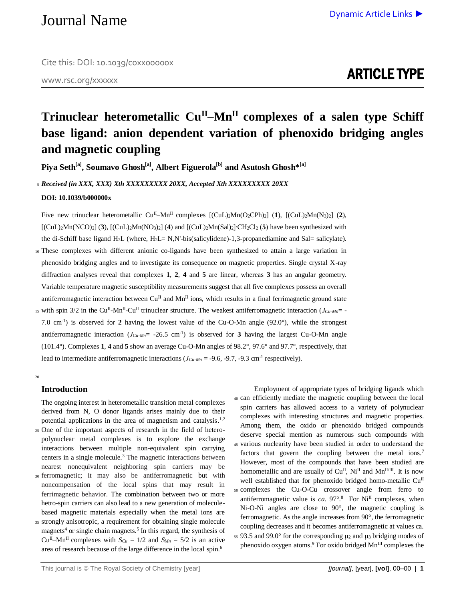www.rsc.org/xxxxxx

# **Trinuclear heterometallic CuII–MnII complexes of a salen type Schiff base ligand: anion dependent variation of phenoxido bridging angles and magnetic coupling**

**Piya Seth[a] , Soumavo Ghosh[a] , Albert Figuerola[b] and Asutosh Ghosh\*[a]**

<sup>5</sup> *Received (in XXX, XXX) Xth XXXXXXXXX 20XX, Accepted Xth XXXXXXXXX 20XX*

**DOI: 10.1039/b000000x**

Five new trinuclear heterometallic Cu<sup>II</sup>–Mn<sup>II</sup> complexes  $[(\text{CuL})_2\text{Mn}(\text{O}_2\text{CPh})_2]$  (1),  $[(\text{CuL})_2\text{Mn}(\text{N}_3)_2]$  (2), [(CuL)2Mn(NCO)2] (**3**), [(CuL)2Mn(NO3)2] (**4**) and [(CuL)2Mn(Sal)2]∙CH2Cl<sup>2</sup> (**5**) have been synthesized with the di-Schiff base ligand  $H_2L$  (where,  $H_2L=N$ , N'-bis(salicylidene)-1,3-propanediamine and Sal= salicylate).

- <sup>10</sup> These complexes with different anionic co-ligands have been synthesized to attain a large variation in phenoxido bridging angles and to investigate its consequence on magnetic properties. Single crystal X-ray diffraction analyses reveal that complexes **1**, **2**, **4** and **5** are linear, whereas **3** has an angular geometry. Variable temperature magnetic susceptibility measurements suggest that all five complexes possess an overall antiferromagnetic interaction between  $Cu^{II}$  and  $Mn^{II}$  ions, which results in a final ferrimagnetic ground state
- <sup>15</sup> with spin  $3/2$  in the Cu<sup>II</sup>-Mn<sup>II</sup>-Cu<sup>II</sup> trinuclear structure. The weakest antiferromagnetic interaction ( $J_{Cu-Mn}$ = 7.0 cm<sup>-1</sup>) is observed for **2** having the lowest value of the Cu-O-Mn angle  $(92.0^{\circ})$ , while the strongest antiferromagnetic interaction  $(J_{Cu-Mn} = -26.5 \text{ cm}^{-1})$  is observed for **3** having the largest Cu-O-Mn angle (101.4°). Complexes **1**, **4** and **5** show an average Cu-O-Mn angles of 98.2°, 97.6° and 97.7°, respectively, that lead to intermediate antiferromagnetic interactions ( $J_{Cu-Mn}$  = -9.6, -9.7, -9.3 cm<sup>-1</sup> respectively).

20

### **Introduction**

The ongoing interest in heterometallic transition metal complexes derived from N, O donor ligands arises mainly due to their potential applications in the area of magnetism and catalysis.<sup>1,2</sup> <sup>25</sup> One of the important aspects of research in the field of hetero-

- polynuclear metal complexes is to explore the exchange interactions between multiple non-equivalent spin carrying centers in a single molecule.<sup>3</sup> The magnetic interactions between nearest nonequivalent neighboring spin carriers may be
- <sup>30</sup> ferromagnetic; it may also be antiferromagnetic but with noncompensation of the local spins that may result in ferrimagnetic behavior. The combination between two or more hetro-spin carriers can also lead to a new generation of moleculebased magnetic materials especially when the metal ions are
- <sup>35</sup> strongly anisotropic, a requirement for obtaining single molecule magnets<sup>4</sup> or single chain magnets.<sup>5</sup> In this regard, the synthesis of Cu<sup>II</sup>–Mn<sup>II</sup> complexes with  $S_{Cu} = 1/2$  and  $S_{Mn} = 5/2$  is an active area of research because of the large difference in the local spin.<sup>6</sup>

Employment of appropriate types of bridging ligands which <sup>40</sup> can efficiently mediate the magnetic coupling between the local spin carriers has allowed access to a variety of polynuclear complexes with interesting structures and magnetic properties. Among them, the oxido or phenoxido bridged compounds deserve special mention as numerous such compounds with <sup>45</sup> various nuclearity have been studied in order to understand the factors that govern the coupling between the metal ions.<sup>7</sup> However, most of the compounds that have been studied are homometallic and are usually of  $Cu^{II}$ ,  $Ni^{II}$  and  $Mn^{II/III}$ . It is now well established that for phenoxido bridged homo-metallic Cu<sup>II</sup> <sup>50</sup> complexes the Cu-O-Cu crossover angle from ferro to antiferromagnetic value is *ca*.  $97^\circ$ <sup>8</sup> For Ni<sup>II</sup> complexes, when Ni-O-Ni angles are close to 90°, the magnetic coupling is ferromagnetic. As the angle increases from 90°, the ferromagnetic coupling decreases and it becomes antiferromagnetic at values ca.  $55$  93.5 and 99.0° for the corresponding  $\mu$ <sub>2</sub> and  $\mu$ <sub>3</sub> bridging modes of phenoxido oxygen atoms.<sup>9</sup> For oxido bridged  $Mn^{III}$  complexes the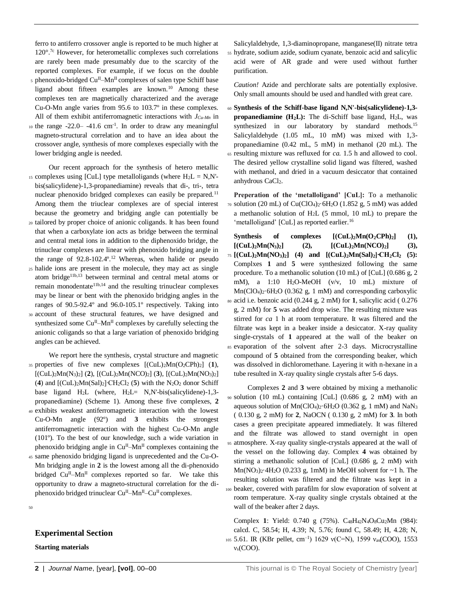ferro to antiferro crossover angle is reported to be much higher at  $120^{\circ}$ .<sup>7c</sup> However, for heterometallic complexes such correlations are rarely been made presumably due to the scarcity of the reported complexes. For example, if we focus on the double

- $_5$  phenoxido-bridged Cu<sup>II</sup>–Mn<sup>II</sup> complexes of salen type Schiff base ligand about fifteen examples are known.<sup>10</sup> Among these complexes ten are magnetically characterized and the average Cu-O-Mn angle varies from 95.6 to 103.7º in these complexes. All of them exhibit antiferromagnetic interactions with *JCu-Mn* in
- 10 the range  $-22.0 -41.6$  cm<sup>-1</sup>. In order to draw any meaningful magneto-structural correlation and to have an idea about the crossover angle, synthesis of more complexes especially with the lower bridging angle is needed.

Our recent approach for the synthesis of hetero metallic 15 complexes using [CuL] type metalloligands (where  $H_2L = N$ , N'bis(salicylidene)-1,3-propanediamine) reveals that di-, tri-, tetra nuclear phenoxido bridged complexes can easily be prepared.<sup>11</sup> Among them the triuclear complexes are of special interest because the geometry and bridging angle can potentially be

- <sup>20</sup> tailored by proper choice of anionic coligands. It has been found that when a carboxylate ion acts as bridge between the terminal and central metal ions in addition to the diphenoxido bridge, the trinuclear complexes are linear with phenoxido bridging angle in the range of 92.8-102.4°.<sup>12</sup> Whereas, when halide or pseudo
- <sup>25</sup> halide ions are present in the molecule, they may act as single atom bridge<sup>11b,13</sup> between terminal and central metal atoms or remain monodentate<sup>11b,14</sup> and the resulting trinuclear complexes may be linear or bent with the phenoxido bridging angles in the ranges of 90.5-92.4º and 96.0-105.1º respectively. Taking into
- <sup>30</sup> account of these structural features, we have designed and synthesized some Cu<sup>II</sup>–Mn<sup>II</sup> complexes by carefully selecting the anionic coligands so that a large variation of phenoxido bridging angles can be achieved.

We report here the synthesis, crystal structure and magnetic <sup>35</sup> properties of five new complexes [(CuL)2Mn(O2CPh)2] (**1**), [(CuL)2Mn(N3)2] (**2**), [(CuL)2Mn(NCO)2] (**3**), [(CuL)2Mn(NO3)2] (**4**) and [(CuL)2Mn(Sal)2]∙CH2Cl<sup>2</sup> (**5**) with the N2O<sup>2</sup> donor Schiff base ligand  $H_2L$  (where,  $H_2L = N$ , N'-bis(salicylidene)-1,3propanediamine) (Scheme 1). Among these five complexes, **2** <sup>40</sup> exhibits weakest antiferromagnetic interaction with the lowest

- Cu-O-Mn angle (92º) and **3** exhibits the strongest antiferromagnetic interaction with the highest Cu-O-Mn angle (101º). To the best of our knowledge, such a wide variation in phenoxido bridging angle in  $Cu<sup>H</sup>$ –Mn<sup>II</sup> complexes containing the
- <sup>45</sup> same phenoxido bridging ligand is unprecedented and the Cu-O-Mn bridging angle in **2** is the lowest among all the di-phenoxido bridged  $Cu<sup>II</sup>$ –Mn<sup>II</sup> complexes reported so far. We take this opportunity to draw a magneto-structural correlation for the diphenoxido bridged trinuclear  $Cu^{II}-Mn^{II}-Cu^{II}$  complexes.

50

### **Experimental Section**

**Starting materials**

Salicylaldehyde, 1,3-diaminopropane, manganese(II) nitrate tetra <sup>55</sup> hydrate, sodium azide, sodium cyanate, benzoic acid and salicylic acid were of AR grade and were used without further purification.

*Caution!* Azide and perchlorate salts are potentially explosive. Only small amounts should be used and handled with great care.

<sup>60</sup> **Synthesis of the Schiff-base ligand N,N'-bis(salicylidene)-1,3 propanediamine (H2L):** The di-Schiff base ligand, H2L, was synthesized in our laboratory by standard methods.<sup>15</sup> Salicylaldehyde (1.05 mL, 10 mM) was mixed with 1,3 propanediamine (0.42 mL, 5 mM) in methanol (20 mL). The <sup>65</sup> resulting mixture was refluxed for *ca.* 1.5 h and allowed to cool. The desired yellow crystalline solid ligand was filtered, washed with methanol, and dried in a vacuum desiccator that contained anhydrous CaCl<sub>2</sub>.

**Preperation of the 'metalloligand' [CuL]:** To a methanolic  $70$  solution (20 mL) of Cu(ClO<sub>4</sub>)<sub>2</sub>·6H<sub>2</sub>O (1.852 g, 5 mM) was added a methanolic solution of H2L (5 mmol, 10 mL) to prepare the 'metalloligand' [CuL] as reported earlier.<sup>16</sup>

**Synthesis of complexes [(CuL)2Mn(O2CPh)2] (1),**   $[ (CuL)<sub>2</sub>Mn(N<sub>3</sub>)<sub>2</sub> ]$  (2),  $[ (CuL)<sub>2</sub>Mn(NCO)<sub>2</sub> ]$  (3), <sup>75</sup> **[(CuL)2Mn(NO3)2] (4) and [(CuL)2Mn(Sal)2]∙CH2Cl<sup>2</sup> (5):**  Complxes **1** and **5** were synthesized following the same procedure. To a methanolic solution (10 mL) of [CuL] (0.686 g, 2 mM), a 1:10 H2O-MeOH (v/v, 10 mL) mixture of Mn(ClO4)2·6H2O (0.362 g, 1 mM) and corresponding carboxylic <sup>80</sup> acid i.e. benzoic acid (0.244 g, 2 mM) for **1**, salicylic acid ( 0.276 g, 2 mM) for **5** was added drop wise. The resulting mixture was stirred for *ca* 1 h at room temperature. It was filtered and the filtrate was kept in a beaker inside a desiccator. X-ray quality single-crystals of **1** appeared at the wall of the beaker on <sup>85</sup> evaporation of the solvent after 2-3 days. Microcrystalline compound of **5** obtained from the corresponding beaker, which was dissolved in dichloromethane. Layering it with n-hexane in a tube resulted in X-ray quality single crystals after 5-6 days.

Complexes **2** and **3** were obtained by mixing a methanolic <sup>90</sup> solution (10 mL) containing [CuL] (0.686 g, 2 mM) with an aqueous solution of  $Mn(CIO<sub>4</sub>)<sub>2</sub>·6H<sub>2</sub>O$  (0.362 g, 1 mM) and NaN<sub>3</sub> ( 0.130 g, 2 mM) for **2**, NaOCN ( 0.130 g, 2 mM) for **3**. In both cases a green precipitate appeared immediately. It was filtered and the filtrate was allowed to stand overnight in open <sup>95</sup> atmosphere. X-ray quality single-crystals appeared at the wall of the vessel on the following day. Complex **4** was obtained by stirring a methanolic solution of [CuL] (0.686 g, 2 mM) with  $Mn(NO<sub>3</sub>)<sub>2</sub>·4H<sub>2</sub>O$  (0.233 g, 1mM) in MeOH solvent for  $\sim$  1 h. The resulting solution was filtered and the filtrate was kept in a <sup>100</sup> beaker, covered with parafilm for slow evaporation of solvent at room temperature. X-ray quality single crystals obtained at the wall of the beaker after 2 days.

Complex **1**: Yield: 0.740 g (75%). C48H42N4O8Cu2Mn (984): calcd. C, 58.54; H, 4.39; N, 5.76; found C, 58.49; H, 4.28; N, 105 5.61. IR (KBr pellet, cm<sup>-1</sup>) 1629 v(C=N), 1599 v<sub>as</sub>(COO), 1553 νs(COO).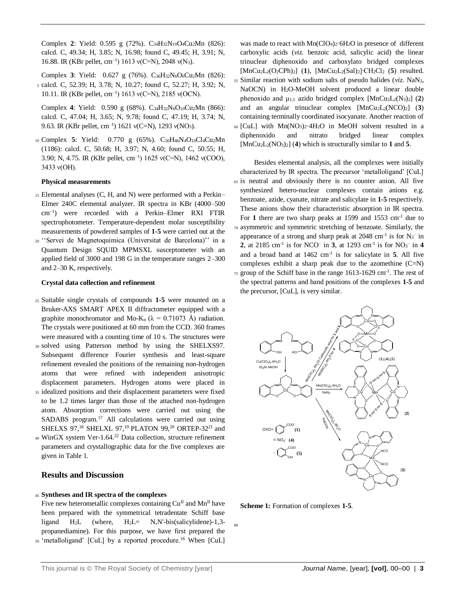Complex **2**: Yield: 0.595 g (72%). C34H32N10O4Cu2Mn (826): calcd. C, 49.34; H, 3.85; N, 16.98; found C, 49.45; H, 3.91; N, 16.88. IR (KBr pellet, cm<sup>-1</sup>) 1613 v(C=N), 2048 v(N<sub>3</sub>).

Complex **3**: Yield: 0.627 g (76%). C36H32N6O6Cu2Mn (826): <sup>5</sup> calcd. C, 52.39; H, 3.78; N, 10.27; found C, 52.27; H, 3.92; N, 10.11. IR (KBr pellet, cm<sup>-1</sup>) 1613 v(C=N), 2185 v(OCN).

Complex 4: Yield: 0.590 g (68%). C<sub>34</sub>H<sub>32</sub>N<sub>6</sub>O<sub>10</sub>Cu<sub>2</sub>Mn (866): calcd. C, 47.04; H, 3.65; N, 9.78; found C, 47.19; H, 3.74; N, 9.63. IR (KBr pellet, cm<sup>-1</sup>) 1621 v(C=N), 1293 v(NO<sub>3</sub>).

<sup>10</sup> Complex **5**: Yield: 0.770 g (65%). C50H46N4O10Cl4Cu2Mn (1186): calcd. C, 50.68; H, 3.97; N, 4.60; found C, 50.55; H, 3.90; N, 4.75. IR (KBr pellet, cm–1 ) 1625 ν(C=N), 1462 ν(COO), 3433 ν(OH).

### **Physical measurements**

- <sup>15</sup> Elemental analyses (C, H, and N) were performed with a Perkin– Elmer 240C elemental analyzer. IR spectra in KBr (4000–500 cm–1 ) were recorded with a Perkin–Elmer RXI FTIR spectrophotometer. Temperature-dependent molar susceptibility measurements of powdered samples of **1-5** were carried out at the
- <sup>20</sup> ''Servei de Magnetoquimica (Universitat de Barcelona)'' in a Quantum Design SQUID MPMSXL susceptometer with an applied field of 3000 and 198 G in the temperature ranges 2–300 and 2–30 K, respectively.

### **Crystal data collection and refinement**

- <sup>25</sup> Suitable single crystals of compounds **1-5** were mounted on a Bruker-AXS SMART APEX II diffractometer equipped with a graphite monochromator and Mo-K<sub>α</sub> ( $\lambda = 0.71073$  Å) radiation. The crystals were positioned at 60 mm from the CCD. 360 frames were measured with a counting time of 10 s. The structures were
- <sup>30</sup> solved using Patterson method by using the SHELXS97. Subsequent difference Fourier synthesis and least-square refinement revealed the positions of the remaining non-hydrogen atoms that were refined with independent anisotropic displacement parameters. Hydrogen atoms were placed in
- <sup>35</sup> idealized positions and their displacement parameters were fixed to be 1.2 times larger than those of the attached non-hydrogen atom. Absorption corrections were carried out using the SADABS program.<sup>17</sup> All calculations were carried out using SHELXS 97,<sup>18</sup> SHELXL 97,<sup>19</sup> PLATON 99,<sup>20</sup> ORTEP-32<sup>21</sup> and
- 40 WinGX system Ver-1.64.<sup>22</sup> Data collection, structure refinement parameters and crystallographic data for the five complexes are given in Table 1.

### **Results and Discussion**

### <sup>45</sup> **Syntheses and IR spectra of the complexes**

Five new heterometallic complexes containing  $Cu^{II}$  and  $Mn^{II}$  have been prepared with the symmetrical tetradentate Schiff base ligand H2L (where, H2L= N,N'-bis(salicylidene)-1,3 propanediamine). For this purpose, we have first prepared the 50 'metalloligand' [CuL] by a reported procedure.<sup>16</sup> When [CuL]

was made to react with  $Mn(C1O<sub>4</sub>)<sub>2</sub>·6H<sub>2</sub>O$  in presence of different carboxylic acids (*viz.* benzoic acid, salicylic acid) the linear trinuclear diphenoxido and carboxylato bridged complexes [MnCu2L2(O2CPh)2] (**1**), [MnCu2L2(Sal)2]∙CH2Cl<sup>2</sup> (**5**) resulted. <sup>55</sup> Similar reaction with sodium salts of pseudo halides (*viz.* NaN3, NaOCN) in H2O-MeOH solvent produced a linear double phenoxido and  $\mu_{1,1}$  azido bridged complex  $[MnCu<sub>2</sub>La(N<sub>3</sub>)<sub>2</sub>]$  (2) and an angular trinuclear complex [MnCu2L2(NCO)2] (**3**) containing terminally coordinated isocyanate. Another reaction of <sup>60</sup> [CuL] with Mn(NO3)2·4H2O in MeOH solvent resulted in a diphenoxido and nitrato bridged linear complex [MnCu2L2(NO3)2] (**4**) which is structurally similar to **1** and **5**.

Besides elemental analysis, all the complexes were initially characterized by IR spectra. The precursor 'metalloligand' [CuL] <sup>65</sup> is neutral and obviously there is no counter anion. All five synthesized hetero-nuclear complexes contain anions e.g. benzoate, azide, cyanate, nitrate and salicylate in **1-5** respectively. These anions show their characteristic absorption in IR spectra. For 1 there are two sharp peaks at 1599 and 1553 cm<sup>-1</sup> due to <sup>70</sup> asymmetric and symmetric stretching of benzoate. Similarly, the appearance of a strong and sharp peak at 2048 cm<sup>-1</sup> is for  $N_3$ <sup>-</sup> in **2**, at 2185 cm<sup>-1</sup> is for NCO<sup>-</sup> in **3**, at 1293 cm<sup>-1</sup> is for NO<sub>3</sub><sup>-</sup> in **4** and a broad band at 1462 cm-1 is for salicylate in **5**. All five complexes exhibit a sharp peak due to the azomethine  $(C=N)$  $75$  group of the Schiff base in the range 1613-1629 cm<sup>-1</sup>. The rest of the spectral patterns and band positions of the complexes **1-5** and the precursor, [CuL], is very similar.



**Scheme 1:** Formation of complexes **1-5**.

80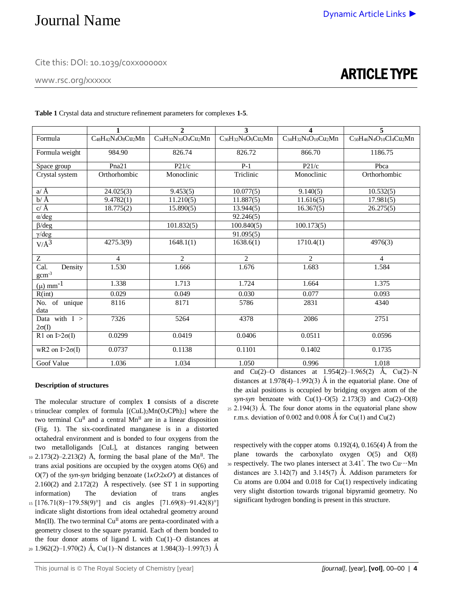Cite this: DOI: 10.1039/c0xx00000x

www.rsc.org/xxxxxx

# ARTICLE TYPE

| Table 1 Crystal data and structure refinement parameters for complexes 1-5. |
|-----------------------------------------------------------------------------|
|                                                                             |

|                                 | 1                                                                                | $\overline{2}$   | 3                                                                                | 4                | 5                                                                                                 |
|---------------------------------|----------------------------------------------------------------------------------|------------------|----------------------------------------------------------------------------------|------------------|---------------------------------------------------------------------------------------------------|
| Formula                         | C <sub>48</sub> H <sub>42</sub> N <sub>4</sub> O <sub>8</sub> Cu <sub>2</sub> Mn | C34H32N10O4Cu2Mn | C <sub>36</sub> H <sub>32</sub> N <sub>6</sub> O <sub>6</sub> Cu <sub>2</sub> Mn | C34H32N6O10Cu2Mn | C <sub>50</sub> H <sub>46</sub> N <sub>4</sub> O <sub>10</sub> Cl <sub>4</sub> Cu <sub>2</sub> Mn |
| Formula weight                  | 984.90                                                                           | 826.74           | 826.72                                                                           | 866.70           | 1186.75                                                                                           |
| Space group                     | Pna21                                                                            | P21/c            | $P-1$                                                                            | P21/c            | Phca                                                                                              |
| Crystal system                  | Orthorhombic                                                                     | Monoclinic       | Triclinic                                                                        | Monoclinic       | Orthorhombic                                                                                      |
| $a/\AA$                         | 24.025(3)                                                                        | 9.453(5)         | 10.077(5)                                                                        | 9.140(5)         | 10.532(5)                                                                                         |
| $b/\AA$                         | 9.4782(1)                                                                        | 11.210(5)        | 11.887(5)                                                                        | 11.616(5)        | 17.981(5)                                                                                         |
| $c/\AA$                         | 18.775(2)                                                                        | 15.890(5)        | 13.944(5)                                                                        | 16.367(5)        | 26.275(5)                                                                                         |
| $\alpha$ /deg                   |                                                                                  |                  | 92.246(5)                                                                        |                  |                                                                                                   |
| $\beta$ /deg                    |                                                                                  | 101.832(5)       | 100.840(5)                                                                       | 100.173(5)       |                                                                                                   |
| $\gamma$ /deg                   |                                                                                  |                  | 91.095(5)                                                                        |                  |                                                                                                   |
| $V/\AA$ <sup>3</sup>            | 4275.3(9)                                                                        | 1648.1(1)        | 1638.6(1)                                                                        | 1710.4(1)        | 4976(3)                                                                                           |
| $\mathbf Z$                     | 4                                                                                | $\overline{c}$   | $\overline{2}$                                                                   | $\mathfrak{2}$   | 4                                                                                                 |
| Cal.<br>Density<br>$gcm-3$      | 1.530                                                                            | 1.666            | 1.676                                                                            | 1.683            | 1.584                                                                                             |
| $(\mu)$ mm <sup>-1</sup>        | 1.338                                                                            | 1.713            | 1.724                                                                            | 1.664            | 1.375                                                                                             |
| R(int)                          | 0.029                                                                            | 0.049            | 0.030                                                                            | 0.077            | 0.093                                                                                             |
| No. of unique<br>data           | 8116                                                                             | 8171             | 5786                                                                             | 2831             | 4340                                                                                              |
| Data with $I >$<br>$2\sigma(I)$ | 7326                                                                             | 5264             | 4378                                                                             | 2086             | 2751                                                                                              |
| R1 on $I>2\sigma(I)$            | 0.0299                                                                           | 0.0419           | 0.0406                                                                           | 0.0511           | 0.0596                                                                                            |
| wR2 on $[>2\sigma(I)$           | 0.0737                                                                           | 0.1138           | 0.1101                                                                           | 0.1402           | 0.1735                                                                                            |
| Goof Value                      | 1.036                                                                            | 1.034            | 1.050                                                                            | 0.996            | 1.018                                                                                             |

### **Description of structures**

The molecular structure of complex **1** consists of a discrete 5 trinuclear complex of formula  $[(CuL)<sub>2</sub>Mn(O<sub>2</sub>CPh)<sub>2</sub>]$  where the two terminal  $Cu<sup>H</sup>$  and a central  $Mn<sup>H</sup>$  are in a linear disposition (Fig. 1). The six-coordinated manganese is in a distorted octahedral environment and is bonded to four oxygens from the two metalloligands [CuL], at distances ranging between  $_{10}$  2.173(2)–2.213(2) Å, forming the basal plane of the Mn<sup>II</sup>. The

trans axial positions are occupied by the oxygen atoms O(6) and O(7) of the *syn-syn* bridging benzoate (1*κO*:2*κO'*) at distances of 2.160(2) and 2.172(2) Å respectively. (see ST 1 in supporting information) The deviation of trans angles <sup>15</sup> [176.71(8)−179.58(9)°] and cis angles [71.69(8)−91.42(8)°] indicate slight distortions from ideal octahedral geometry around  $Mn(II)$ . The two terminal  $Cu<sup>II</sup>$  atoms are penta-coordinated with a geometry closest to the square pyramid. Each of them bonded to the four donor atoms of ligand L with  $Cu(1)-O$  distances at

20 1.962(2)–1.970(2) Å, Cu(1)–N distances at 1.984(3)–1.997(3) Å

and Cu(2)–O distances at  $1.954(2)$ – $1.965(2)$  Å, Cu(2)–N distances at  $1.978(4)$ –1.992(3) Å in the equatorial plane. One of the axial positions is occupied by bridging oxygen atom of the *syn-syn* benzoate with  $Cu(1) - O(5)$  2.173(3) and  $Cu(2) - O(8)$  $25$  2.194(3) Å. The four donor atoms in the equatorial plane show r.m.s. deviation of 0.002 and 0.008 Å for Cu(1) and Cu(2)

respectively with the copper atoms  $(0.192(4), 0.165(4))$  Å from the plane towards the carboxylato oxygen O(5) and O(8)  $30$  respectively. The two planes intersect at 3.41°. The two Cu $\cdots$ Mn distances are  $3.142(7)$  and  $3.145(7)$  Å. Addison parameters for Cu atoms are 0.004 and 0.018 for Cu(1) respectively indicating very slight distortion towards trigonal bipyramid geometry. No significant hydrogen bonding is present in this structure.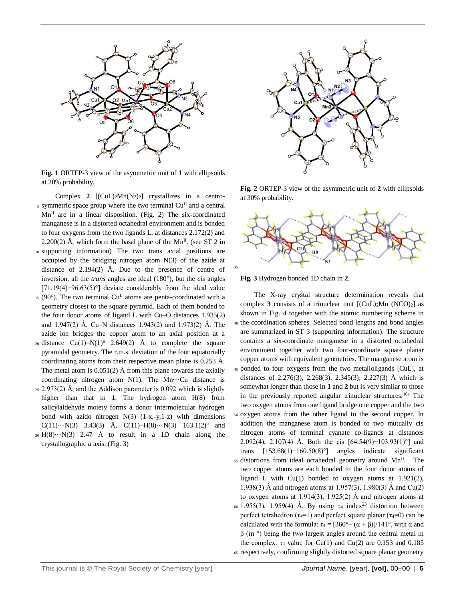

**Fig. 1** ORTEP-3 view of the asymmetric unit of **1** with ellipsoids at 20% probability.

Complex 2  $[(\text{CuL})_2\text{Mn}(N_3)_2]$  crystallizes in a centros symmetric space group where the two terminal  $Cu<sup>H</sup>$  and a central  $Mn^{II}$  are in a linear disposition. (Fig. 2) The six-coordinated manganese is in a distorted octahedral environment and is bonded to four oxygens from the two ligands L, at distances 2.172(2) and 2.200(2) Å, which form the basal plane of the Mn<sup>II</sup>. (see ST 2 in <sup>10</sup> supporting information) The two trans axial positions are occupied by the bridging nitrogen atom N(3) of the azide at distance of 2.194(2) Å. Due to the presence of centre of inversion, all the *trans* angles are ideal (180°), but the *cis* angles [71.19(4)−96.63(5)°] deviate considerably from the ideal value

- 15 (90°). The two terminal Cu<sup>II</sup> atoms are penta-coordinated with a geometry closest to the square pyramid. Each of them bonded to the four donor atoms of ligand L with Cu–O distances 1.935(2) and 1.947(2) Å, Cu–N distances 1.943(2) and 1.973(2) Å. The azide ion bridges the copper atom to an axial position at a
- 20 distance  $Cu(1)-N(1)^{a}$  2.649(2) Å to complete the square pyramidal geometry. The r.m.s. deviation of the four equatorially coordinating atoms from their respective mean plane is 0.253 Å. The metal atom is  $0.051(2)$  Å from this plane towards the axially coordinating nitrogen atom  $N(1)$ . The Mn···Cu distance is
- $25$  2.973(2) Å, and the Addison parameter is 0.092 which is slightly higher than that in **1**. The hydrogen atom H(8) from salicylaldehyde moiety forms a donor intermolecular hydrogen bond with azido nitrogen  $N(3)$   $(1-x,-y,1-z)$  with dimensions C(11) $\cdots$ N(3) 3.43(3) Å, C(11)–H(8) $\cdots$ N(3) 163.1(2)<sup>o</sup> and
- $30 \text{ H}(8) \cdots \text{N}(3)$  2.47 Å to result in a 1D chain along the crystallographic *a* axis. (Fig. 3)



**Fig. 2** ORTEP-3 view of the asymmetric unit of **2** with ellipsoids at 30% probability.



**Fig. 3** Hydrogen bonded 1D chain in **2**.

The X-ray crystal structure determination reveals that complex  $3$  consists of a trinuclear unit  $[(CuL)<sub>2</sub>Mn (NCO)<sub>2</sub>]$  as shown in Fig. 4 together with the atomic numbering scheme in <sup>40</sup> the coordination spheres. Selected bond lengths and bond angles are summarized in ST 3 (supporting information). The structure contains a six-coordinate manganese in a distorted octahedral environment together with two four-coordinate square planar copper atoms with equivalent geometries. The manganese atom is <sup>45</sup> bonded to four oxygens from the two metalloligands [CuL], at distances of 2.276(3), 2.268(3), 2.345(3), 2.227(3) Å which is somewhat longer than those in **1** and **2** but is very similar to those in the previously reported angular trinuclear structures.10a The two oxygen atoms from one ligand bridge one copper and the two <sup>50</sup> oxygen atoms from the other ligand to the second copper. In addition the manganese atom is bonded to two mutually cis nitrogen atoms of terminal cyanate co-ligands at distances 2.092(4), 2.107(4) Å. Both the cis [64.54(9)−103.93(1)°] and trans [153.68(1)−160.50(8)°] angles indicate significant  $55$  distortions from ideal octahedral geometry around Mn<sup>II</sup>. The two copper atoms are each bonded to the four donor atoms of ligand L with  $Cu(1)$  bonded to oxygen atoms at 1.921(2), 1.938(3) Å and nitrogen atoms at 1.957(3), 1.980(3) Å and Cu(2) to oxygen atoms at 1.914(3), 1.925(2) Å and nitrogen atoms at <sup>60</sup> 1.955(3), 1.959(4) Å. By using  $\tau_4$  index<sup>23</sup> distortion between perfect tetrahedron ( $\tau$ <sub>4</sub>=1) and perfect square planar ( $\tau$ <sub>4</sub>=0) can be calculated with the formula:  $\tau_4 = [360^\circ - (\alpha + \beta)]/141^\circ$ , with  $\alpha$  and β (in °) being the two largest angles around the central metal in the complex.  $\tau_4$  value for Cu(1) and Cu(2) are 0.153 and 0.185 <sup>65</sup> respectively, confirming slightly distorted square planar geometry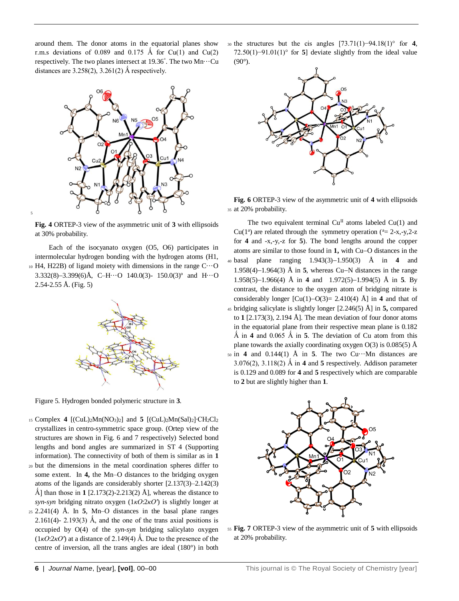around them. The donor atoms in the equatorial planes show r.m.s deviations of 0.089 and 0.175 Å for Cu(1) and Cu(2) respectively. The two planes intersect at 19.36° . The two Mn···Cu distances are  $3.258(2)$ ,  $3.261(2)$  Å respectively.



**Fig. 4** ORTEP-3 view of the asymmetric unit of **3** with ellipsoids at 30% probability.

5

Each of the isocyanato oxygen (O5, O6) participates in intermolecular hydrogen bonding with the hydrogen atoms (H1, <sup>10</sup> H4, H22B) of ligand moiety with dimensions in the range C···O 3.332(8)-3.399(6)Å, C-H $\cdots$ O 140.0(3)- 150.0(3)<sup>o</sup> and H $\cdots$ O  $2.54 - 2.55$  Å. (Fig. 5)



Figure 5. Hydrogen bonded polymeric structure in **3**.

- <sup>15</sup> Complex **4** [(CuL)2Mn(NO3)2] and **5** [(CuL)2Mn(Sal)2]∙CH2Cl<sup>2</sup> crystallizes in centro-symmetric space group. (Ortep view of the structures are shown in Fig. 6 and 7 respectively) Selected bond lengths and bond angles are summarized in ST 4 (Supporting information). The connectivity of both of them is similar as in **1**
- <sup>20</sup> but the dimensions in the metal coordination spheres differ to some extent. In **4,** the Mn–O distances to the bridging oxygen atoms of the ligands are considerably shorter [2.137(3)–2.142(3) Å] than those in  $1$  [2.173(2)-2.213(2) Å], whereas the distance to *syn-syn* bridging nitrato oxygen (1*κO*:2*κO'*) is slightly longer at
- <sup>25</sup> 2.241(4) Å. In **5**, Mn–O distances in the basal plane ranges 2.161(4)- 2.193(3) Å, and the one of the trans axial positions is occupied by O(4) of the *syn-syn* bridging salicylato oxygen  $(1\kappa O:2\kappa O')$  at a distance of 2.149(4) Å. Due to the presence of the centre of inversion, all the trans angles are ideal (180°) in both

<sup>30</sup> the structures but the cis angles [73.71(1)−94.18(1)° for **4**, 72.50(1)−91.01(1)° for **5**] deviate slightly from the ideal value  $(90^\circ)$ .



**Fig. 6** ORTEP-3 view of the asymmetric unit of **4** with ellipsoids <sup>35</sup> at 20% probability.

The two equivalent terminal  $Cu<sup>H</sup>$  atoms labeled Cu(1) and Cu( $1^a$ ) are related through the symmetry operation ( $a = 2-x, -y, 2-z$ for **4** and -x,-y,-z for **5**). The bond lengths around the copper atoms are similar to those found in 1, with Cu–O distances in the <sup>40</sup> basal plane ranging 1.943(3)1.950(3) Å in **4** and  $1.958(4)$ – $1.964(3)$  Å in 5, whereas Cu–N distances in the range 1.958(5)–1.966(4) Å in **4** and 1.972(5)–1.994(5) Å in **5**. By contrast, the distance to the oxygen atom of bridging nitrate is considerably longer  $\lbrack Cu(1)-O(3)= 2.410(4) \text{ Å} \rbrack$  in **4** and that of <sup>45</sup> bridging salicylate is slightly longer [2.246(5) Å] in **5,** compared to **1** [2.173(3), 2.194 Å]. The mean deviation of four donor atoms in the equatorial plane from their respective mean plane is 0.182  $\AA$  in **4** and 0.065  $\AA$  in **5**. The deviation of Cu atom from this plane towards the axially coordinating oxygen  $O(3)$  is 0.085(5) Å  $50 \text{ in } 4$  and  $0.144(1)$  Å in **5**. The two Cu $\cdots$ Mn distances are 3.076(2), 3.118(2) Ǻ in **4** and **5** respectively. Addison parameter is 0.129 and 0.089 for **4** and **5** respectively which are comparable to **2** but are slightly higher than **1**.



<sup>55</sup> **Fig. 7** ORTEP-3 view of the asymmetric unit of **5** with ellipsoids at 20% probability.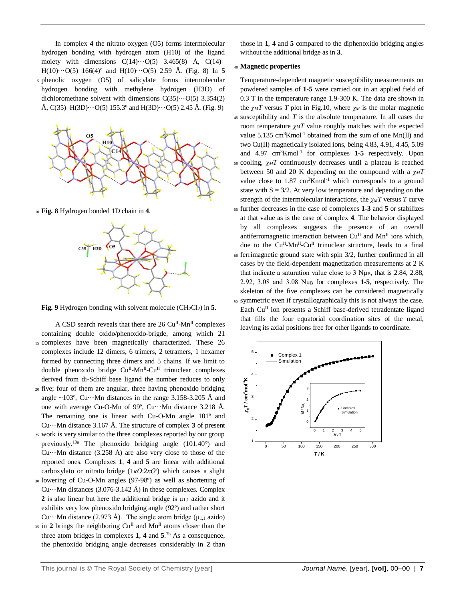In complex **4** the nitrato oxygen (O5) forms intermolecular hydrogen bonding with hydrogen atom (H10) of the ligand moiety with dimensions  $C(14)\cdots O(5)$  3.465(8) Å,  $C(14)$ – H(10) $\cdots$ O(5) 166(4)<sup>o</sup> and H(10) $\cdots$ O(5) 2.59 Å. (Fig. 8) In 5 <sup>5</sup> phenolic oxygen (O5) of salicylate forms intermolecular hydrogen bonding with methylene hydrogen (H3D) of dichloromethane solvent with dimensions  $C(35)\cdots O(5)$  3.354(2) Å, C(35)–H(3D) $\cdots$ O(5) 155.3° and H(3D) $\cdots$ O(5) 2.45 Å. (Fig. 9)



<sup>10</sup> **Fig. 8** Hydrogen bonded 1D chain in **4**.



**Fig. 9** Hydrogen bonding with solvent molecule (CH2Cl2) in **5**.

- A CSD search reveals that there are 26 Cu<sup>II</sup>-Mn<sup>II</sup> complexes containing double oxido/phenoxido-brigde, among which 21 <sup>15</sup> complexes have been magnetically characterized. These 26 complexes include 12 dimers, 6 trimers, 2 tetramers, 1 hexamer formed by connecting three dimers and 5 chains. If we limit to double phenoxido bridge Cu<sup>II</sup>-Mn<sup>II</sup>-Cu<sup>II</sup> trinuclear complexes derived from di-Schiff base ligand the number reduces to only <sup>20</sup> five; four of them are angular, three having phenoxido bridging angle  $\sim$ 103°, Cu···Mn distances in the range 3.158-3.205 Å and one with average Cu-O-Mn of 99º, Cu···Mn distance 3.218 Å. The remaining one is linear with Cu-O-Mn angle 101º and Cu $\cdots$ Mn distance 3.167 Å. The structure of complex **3** of present <sup>25</sup> work is very similar to the three complexes reported by our group previously. 10a The phenoxido bridging angle (101.40°) and Cu $\cdots$ Mn distance (3.258 Å) are also very close to those of the reported ones. Complexes **1**, **4** and **5** are linear with additional carboxylato or nitrato bridge (1*κO*:2*κO'*) which causes a slight <sup>30</sup> lowering of Cu-O-Mn angles (97-98º) as well as shortening of
- Cu $\cdots$ Mn distances (3.076-3.142 Å) in these complexes. Complex **2** is also linear but here the additional bridge is  $\mu_{1,1}$  azido and it exhibits very low phenoxido bridging angle (92º) and rather short Cu $\cdots$ Mn distance (2.973 Å). The single atom bridge (μ<sub>1,1</sub> azido)
- $\frac{1}{35}$  in 2 brings the neighboring Cu<sup>II</sup> and Mn<sup>II</sup> atoms closer than the three atom bridges in complexes **1**, **4** and **5**. 7b As a consequence, the phenoxido bridging angle decreases considerably in **2** than

those in **1**, **4** and **5** compared to the diphenoxido bridging angles without the additional bridge as in **3**.

### <sup>40</sup> **Magnetic properties**

Temperature-dependent magnetic susceptibility measurements on powdered samples of **1-5** were carried out in an applied field of 0.3 T in the temperature range 1.9-300 K. The data are shown in the  $\chi_M T$  versus *T* plot in Fig.10, where  $\chi_M$  is the molar magnetic <sup>45</sup> susceptibility and *T* is the absolute temperature. In all cases the room temperature *χMT* value roughly matches with the expected value 5.135  $cm<sup>3</sup>Kmol<sup>-1</sup> obtained from the sum of one Mn(II) and$ two Cu(II) magnetically isolated ions, being 4.83, 4.91, 4.45, 5.09 and 4.97 cm<sup>3</sup>Kmol<sup>-1</sup> for complexes **1-5** respectively. Upon <sup>50</sup> cooling, *χMT* continuously decreases until a plateau is reached between 50 and 20 K depending on the compound with a *χMT* value close to  $1.87 \text{ cm}^3 \text{K} \text{mol}^{-1}$  which corresponds to a ground state with  $S = 3/2$ . At very low temperature and depending on the strength of the intermolecular interactions, the *χMT* versus *T* curve <sup>55</sup> further decreases in the case of complexes **1-3** and **5** or stabilizes at that value as is the case of complex **4**. The behavior displayed by all complexes suggests the presence of an overall antiferromagnetic interaction between  $Cu<sup>H</sup>$  and  $Mn<sup>H</sup>$  ions which, due to the  $Cu^{II}$ -Mn<sup>II</sup>-Cu<sup>II</sup> trinuclear structure, leads to a final  $\omega$  ferrimagnetic ground state with spin 3/2, further confirmed in all cases by the field-dependent magnetization measurements at 2 K that indicate a saturation value close to 3  $N\mu$ B, that is 2.84, 2.88, 2.92, 3.08 and 3.08 Nμ<sup>B</sup> for complexes **1-5**, respectively. The skeleton of the five complexes can be considered magnetically <sup>65</sup> symmetric even if crystallographically this is not always the case. Each Cu<sup>II</sup> ion presents a Schiff base-derived tetradentate ligand that fills the four equatorial coordination sites of the metal, leaving its axial positions free for other ligands to coordinate.

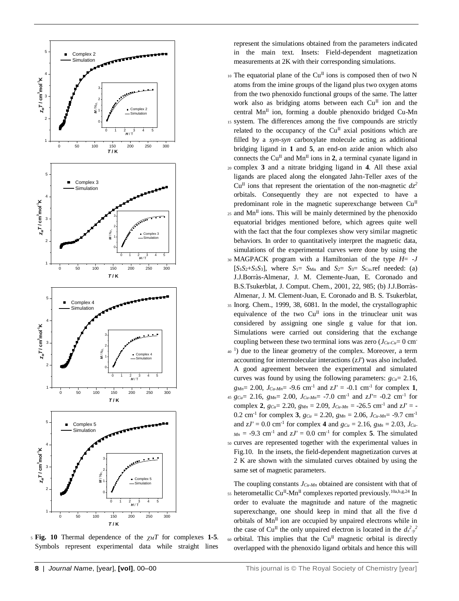

<sup>5</sup> **Fig. 10** Thermal dependence of the *χMT* for complexes **1-5**. Symbols represent experimental data while straight lines

represent the simulations obtained from the parameters indicated in the main text. Insets: Field-dependent magnetization measurements at 2K with their corresponding simulations.

 $_{10}$  The equatorial plane of the Cu<sup>II</sup> ions is composed then of two N atoms from the imine groups of the ligand plus two oxygen atoms from the two phenoxido functional groups of the same. The latter work also as bridging atoms between each  $Cu<sup>H</sup>$  ion and the central  $Mn^{\text{II}}$  ion, forming a double phenoxido bridged Cu-Mn

- <sup>15</sup> system. The differences among the five compounds are strictly related to the occupancy of the  $Cu<sup>H</sup>$  axial positions which are filled by a *syn-syn* carboxylate molecule acting as additional bridging ligand in **1** and **5**, an end-on azide anion which also connects the  $Cu<sup>H</sup>$  and Mn<sup>II</sup> ions in 2, a terminal cyanate ligand in <sup>20</sup> complex **3** and a nitrate bridging ligand in **4**. All these axial
- ligands are placed along the elongated Jahn-Teller axes of the  $Cu<sup>H</sup>$  ions that represent the orientation of the non-magnetic  $dz<sup>2</sup>$ orbitals. Consequently they are not expected to have a predominant role in the magnetic superexchange between  $Cu<sup>H</sup>$  $25$  and Mn<sup>II</sup> ions. This will be mainly determined by the phenoxido equatorial bridges mentioned before, which agrees quite well
- with the fact that the four complexes show very similar magnetic behaviors. In order to quantitatively interpret the magnetic data, simulations of the experimental curves were done by using the
- $\begin{array}{c|c}\n\text{A} & \text{B} \\
\text{B} & \text{B} \\
\text{C} & \text{A} \\
\text{D} & \text{A} \\
\text{E} & \text{A} \\
\text{D} & \text{A} \\
\text{E} & \text{A} \\
\text{E} & \text{A} \\
\text{D} & \text{B} \\
\text{E} & \text{A} \\
\text{E} & \text{A} \\
\text{E} & \text{B} \\
\text{E} & \text{A} \\
\text{E} & \text{B} \\
\text{E} & \text{A} \\
\text{E} & \text{B} \\
\text{E} & \text{B} \\
\text{E} &$  $[S_1S_2+S_1S_3]$ , where  $S_1 = S_{Mn}$  and  $S_2 = S_3 = S_{Cu}$  ref needed: (a) J.J.Borràs-Almenar, J. M. Clemente-Juan, E. Coronado and B.S.Tsukerblat, J. Comput. Chem., 2001, 22, 985; (b) J.J.Borràs-Almenar, J. M. Clement-Juan, E. Coronado and B. S. Tsukerblat,
	- <sup>35</sup> Inorg. Chem., 1999, 38, 6081. In the model, the crystallographic equivalence of the two  $Cu<sup>\Pi</sup>$  ions in the trinuclear unit was considered by assigning one single g value for that ion. Simulations were carried out considering that the exchange coupling between these two terminal ions was zero  $(J_{Cu-Cu}=0$  cm<sup>-</sup>
	- <sup>40</sup> <sup>1</sup>) due to the linear geometry of the complex. Moreover, a term accounting for intermolecular interactions (*zJ'*) was also included. A good agreement between the experimental and simulated curves was found by using the following parameters:  $g_{Cu} = 2.16$ ,  $g_{Mn} = 2.00$ ,  $J_{Cu-Mn} = -9.6$  cm<sup>-1</sup> and  $zJ' = -0.1$  cm<sup>-1</sup> for complex **1**,
	- 45  $g_{Cu} = 2.16$ ,  $g_{Mn} = 2.00$ ,  $J_{Cu-Mn} = -7.0$  cm<sup>-1</sup> and  $zJ' = -0.2$  cm<sup>-1</sup> for complex **2**,  $g_{Cu} = 2.20$ ,  $g_{Mn} = 2.09$ ,  $J_{Cu-Mn} = -26.5$  cm<sup>-1</sup> and  $zJ' = -26.5$ 0.2 cm<sup>-1</sup> for complex **3**,  $g_{Cu} = 2.20$ ,  $g_{Mn} = 2.06$ ,  $J_{Cu-Mn} = -9.7$  cm<sup>-1</sup> and  $zJ' = 0.0$  cm<sup>-1</sup> for complex 4 and  $g_{Cu} = 2.16$ ,  $g_{Mn} = 2.03$ ,  $J_{Cu}$  $M_n = -9.3$  cm<sup>-1</sup> and  $zJ' = 0.0$  cm<sup>-1</sup> for complex 5. The simulated <sup>50</sup> curves are represented together with the experimental values in Fig.10. In the insets, the field-dependent magnetization curves at 2 K are shown with the simulated curves obtained by using the same set of magnetic parameters.

The coupling constants *JCu-Mn* obtained are consistent with that of 55 heterometallic Cu<sup>II</sup>-Mn<sup>II</sup> complexes reported previously.<sup>10a,b,g,24</sup> In order to evaluate the magnitude and nature of the magnetic superexchange, one should keep in mind that all the five d orbitals of  $Mn^{\text{II}}$  ion are occupied by unpaired electrons while in the case of Cu<sup>II</sup> the only unpaired electron is located in the  $d_{x-y}^2$  $60$  orbital. This implies that the Cu<sup>II</sup> magnetic orbital is directly overlapped with the phenoxido ligand orbitals and hence this will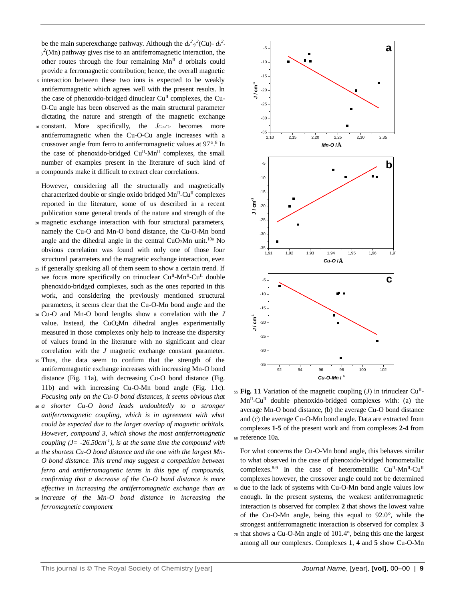be the main superexchange pathway. Although the  $d_x^2 \cdot y^2$ (Cu)- $d_x^2$ .  $y^2$ (Mn) pathway gives rise to an antiferromagnetic interaction, the other routes through the four remaining  $Mn^{\text{II}}$  *d* orbitals could provide a ferromagnetic contribution; hence, the overall magnetic

- <sup>5</sup> interaction between these two ions is expected to be weakly antiferromagnetic which agrees well with the present results. In the case of phenoxido-bridged dinuclear  $Cu<sup>H</sup>$  complexes, the Cu-O-Cu angle has been observed as the main structural parameter dictating the nature and strength of the magnetic exchange
- <sup>10</sup> constant. More specifically, the *JCu-Cu* becomes more antiferromagnetic when the Cu-O-Cu angle increases with a crossover angle from ferro to antiferromagnetic values at 97°.8 In the case of phenoxido-bridged Cu<sup>II</sup>-Mn<sup>II</sup> complexes, the small number of examples present in the literature of such kind of
- <sup>15</sup> compounds make it difficult to extract clear correlations.

However, considering all the structurally and magnetically characterized double or single oxido bridged Mn<sup>II</sup>-Cu<sup>II</sup> complexes reported in the literature, some of us described in a recent publication some general trends of the nature and strength of the

- <sup>20</sup> magnetic exchange interaction with four structural parameters, namely the Cu-O and Mn-O bond distance, the Cu-O-Mn bond angle and the dihedral angle in the central  $CuO<sub>2</sub>Mn$  unit.<sup>10a</sup> No obvious correlation was found with only one of those four structural parameters and the magnetic exchange interaction, even
- <sup>25</sup> if generally speaking all of them seem to show a certain trend. If we focus more specifically on trinuclear Cu<sup>II</sup>-Mn<sup>II</sup>-Cu<sup>II</sup> double phenoxido-bridged complexes, such as the ones reported in this work, and considering the previously mentioned structural parameters, it seems clear that the Cu-O-Mn bond angle and the
- <sup>30</sup> Cu-O and Mn-O bond lengths show a correlation with the *J* value. Instead, the CuO2Mn dihedral angles experimentally measured in those complexes only help to increase the dispersity of values found in the literature with no significant and clear correlation with the *J* magnetic exchange constant parameter.
- <sup>35</sup> Thus, the data seem to confirm that the strength of the antiferromagnetic exchange increases with increasing Mn-O bond distance (Fig. 11a), with decreasing Cu-O bond distance (Fig. 11b) and with increasing Cu-O-Mn bond angle (Fig. 11c). *Focusing only on the Cu-O bond distances, it seems obvious that*
- <sup>40</sup> *a shorter Cu-O bond leads undoubtedly to a stronger antiferromagnetic coupling, which is in agreement with what could be expected due to the larger overlap of magnetic orbitals. However, compound 3, which shows the most antiferromagnetic coupling (J*=  $-26.50cm^{-1}$ ), *is at the same time the compound with*
- <sup>45</sup> *the shortest Cu-O bond distance and the one with the largest Mn-O bond distance. This trend may suggest a competition between ferro and antiferromagnetic terms in this type of compounds, confirming that a decrease of the Cu-O bond distance is more effective in increasing the antiferromagnetic exchange than an*
- <sup>50</sup> *increase of the Mn-O bond distance in increasing the ferromagnetic component*



 $F_5$  **Fig. 11** Variation of the magnetic coupling (*J*) in trinuclear Cu<sup>II</sup>. Mn<sup>II</sup>-Cu<sup>II</sup> double phenoxido-bridged complexes with: (a) the average Mn-O bond distance, (b) the average Cu-O bond distance and (c) the average Cu-O-Mn bond angle. Data are extracted from complexes **1-5** of the present work and from complexes **2-4** from <sup>60</sup> reference 10a.

For what concerns the Cu-O-Mn bond angle, this behaves similar to what observed in the case of phenoxido-bridged homometallic complexes. 8-9 In the case of heterometallic Cu<sup>II</sup>-Mn<sup>II</sup>-Cu<sup>II</sup> complexes however, the crossover angle could not be determined <sup>65</sup> due to the lack of systems with Cu-O-Mn bond angle values low enough. In the present systems, the weakest antiferromagnetic interaction is observed for complex **2** that shows the lowest value of the Cu-O-Mn angle, being this equal to 92.0°, while the strongest antiferromagnetic interaction is observed for complex **3** <sup>70</sup> that shows a Cu-O-Mn angle of 101.4°, being this one the largest among all our complexes. Complexes **1**, **4** and **5** show Cu-O-Mn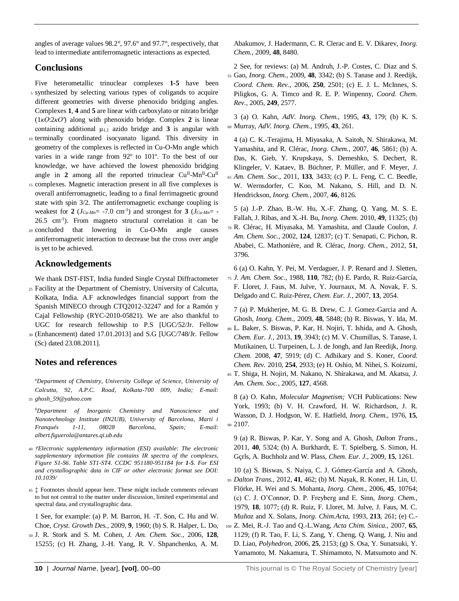angles of average values 98.2°, 97.6° and 97.7°, respectively, that lead to intermediate antiferromagnetic interactions as expected.

## **Conclusions**

Five heterometallic trinuclear complexes **1-5** have been <sup>5</sup> synthesized by selecting various types of coligands to acquire different geometries with diverse phenoxido bridging angles. Complexes **1**, **4** and **5** are linear with carboxylato or nitrato bridge (1*κO*:2*κO'*) along with phenoxido bridge. Complex **2** is linear containing additional  $\mu_{1,1}$  azido bridge and **3** is angular with <sup>10</sup> terminally coordinated isocyanato ligand. This diversity in

- geometry of the complexes is reflected in Cu-O-Mn angle which varies in a wide range from 92º to 101º. To the best of our knowledge, we have achieved the lowest phenoxido bridging angle in 2 among all the reported trinuclear Cu<sup>II</sup>-Mn<sup>II</sup>-Cu<sup>II</sup>
- <sup>15</sup> complexes. Magnetic interaction present in all five complexes is overall antiferromagnetic, leading to a final ferrimagnetic ground state with spin 3/2. The antiferromagnetic exchange coupling is weakest for 2 ( $J_{Cu-Mn}$ = -7.0 cm<sup>-1</sup>) and strongest for 3 ( $J_{Cu-Mn}$ = -26.5 cm-1 ). From magneto structural correlation it can be
- <sup>20</sup> concluded that lowering in Cu-O-Mn angle causes antiferromagnetic interaction to decrease but the cross over angle is yet to be achieved.

## **Acknowledgements**

We thank DST-FIST, India funded Single Crystal Diffractometer <sup>25</sup> Facility at the Department of Chemistry, University of Calcutta, Kolkata, India. A.F acknowledges financial support from the Spanish MINECO through CTQ2012-32247 and for a Ramón y

Cajal Fellowship (RYC-2010-05821). We are also thankful to UGC for research fellowship to P.S [UGC/52/Jr. Fellow

<sup>30</sup> (Enhancement) dated 17.01.2013] and S.G [UGC/748/Jr. Fellow (Sc) dated 23.08.2011].

# **Notes and references**

*<sup>a</sup>Department of Chemistry, University College of Science, University of Calcutta, 92, A.P.C. Road, Kolkata-700 009, India; E-mail:*  <sup>35</sup> *[ghosh\\_59@yahoo.com](mailto:ghosh_59@yahoo.com)*

*<sup>b</sup>Department of Inorganic Chemistry and Nanoscience and Nanotechnology Institute (IN2UB), University of Barcelona, Martí i Franqués 1-11, 08028 Barcelona, Spain; E-mail: albert.figuerola@antares.qi.ub.edu*

- <sup>40</sup> *†Electronic supplementary information (ESI) available: The electronic supplementary information file contains IR spectra of the complexes, Figure S1-S6. Table ST1-ST4. CCDC 951180-951184 for 1-5. For ESI and crystallographic data in CIF or other electronic format see DOI: 10.1039/*
- <sup>45</sup> ‡ Footnotes should appear here. These might include comments relevant to but not central to the matter under discussion, limited experimental and spectral data, and crystallographic data.

1 See, for example: (a) P. M. Barron, H. -T. Son, C. Hu and W. Choe, *Cryst. Growth Des.,* 2009, **9**, 1960; (b) S. R. Halper, L. Do,

<sup>50</sup> J. R. Stork and S. M. Cohen, *J. Am. Chem. Soc.,* 2006, **128**, 15255; (c) H. Zhang, J.-H. Yang, R. V. Shpanchenko, A. M.

Abakumov, J. Hadermann, C. R. Clerac and E. V. Dikarev, *Inorg. Chem.*, 2009, **48**, 8480.

2 See, for reviews: (a) M. Andruh, J.-P. Costes, C. Diaz and S. <sup>55</sup> Gao, *Inorg. Chem.,* 2009, **48**, 3342; (b) S. Tanase and J. Reedijk,

*Coord. Chem. Rev.*, 2006, **250**, 2501; (c) E. J. L. McInnes, S. Piligkos, G. A. Timco and R. E. P. Winpenny, *Coord. Chem. Rev*., 2005, **249**, 2577.

3 (a) O. Kahn, *AdV. Inorg. Chem.,* 1995, **43**, 179; (b) K. S. <sup>60</sup> Murray, *AdV. Inorg. Chem.*, 1995, **43**, 261.

4 (a) C. K.-Terajima, H. Miyasaka, A. Saitoh, N. Shirakawa, M. Yamashita, and R. Clérac, *Inorg. Chem.*, 2007, **46**, 5861; (b) A. Das, K. Gieb, Y. Krupskaya, S. Demeshko, S. Dechert, R. Klingeler, V. Kataev, B. Büchner, P. Müller, and F. Meyer, *J.*  <sup>65</sup> *Am. Chem. Soc.*, 2011, **133**, 3433; (c) P. L. Feng, C. C. Beedle, W. Wernsdorfer, C. Koo, M. Nakano, S. Hill, and D. N. Hendrickson, *Inorg. Chem.*, 2007, **46**, 8126.

5 (a) J.-P. Zhao, B.-W. Hu, X.-F. Zhang, Q. Yang, M. S. E. Fallah, J. Ribas, and X.-H. Bu, *Inorg. Chem.* 2010, **49**, 11325; (b)

<sup>70</sup> R. Clérac, H. Miyasaka, M. Yamashita, and Claude Coulon, *J. Am. Chem. Soc.*, 2002, **124**, 12837; (c) T. Senapati, C. Pichon, R. Ababei, C. Mathonière, and R. Clérac, *Inorg. Chem.*, 2012, **51**, 3796.

6 (a) O. Kahn, Y. Pei, M. Verdaguer, J. P. Renard and J. Sletten, <sup>75</sup> *J. Am. Chem. Soc.*, 1988, **110**, 782; (b) E. Pardo, R. Ruiz-García, F. Lloret, J. Faus, M. Julve, Y. Journaux, M. A. Novak, F. S. Delgado and C. Ruiz-Pérez, *Chem. Eur. J.*, 2007, **13**, 2054.

7 (a) P. Mukherjee, M. G. B. Drew, C. J. Gomez-Garcia and A. Ghosh, *Inorg. Chem.,* 2009, **48**, 5848; (b) R. Biswas, Y. Ida, M.

<sup>80</sup> L. Baker, S. Biswas, P. Kar, H. Nojiri, T. Ishida, and A. Ghosh, *Chem. Eur. J.,* 2013, **19**, 3943; (c) M. V. Chumillas, S. Tanase, I. Mutikainen, U. Turpeinen, L. J. de Jongh, and Jan Reedijk, *Inorg. Chem.* 2008, **47**, 5919; (d) C. Adhikary and S. Koner, *Coord. Chem. Rev.* 2010, **254**, 2933; (e) H. Oshio, M. Nihei, S. Koizumi,

<sup>85</sup> T. Shiga, H. Nojiri, M. Nakano, N. Shirakawa, and M. Akatsu, *J. Am. Chem. Soc.*, 2005, **127**, 4568.

8 (a) O. Kahn, *Molecular Magnetism;* VCH Publications: New York, 1993; (b) V. H. Crawford, H. W. Richardson, J. R. Wasson, D. J. Hodgson, W. E. Hatfield, *Inorg. Chem.,* 1976, **15**, <sup>90</sup> 2107.

9 (a) R. Biswas, P. Kar, Y. Song and A. Ghosh, *Dalton Trans.*, 2011, **40**, 5324; (b) A. Burkhardt, E. T. Spielberg, S. Simon, H. Gçrls, A. Buchholz and W. Plass, *Chem. Eur. J.*, 2009, **15**, 1261.

10 (a) S. Biswas, S. Naiya, C. J. Gómez-García and A. Ghosh, <sup>95</sup> *Dalton Trans.,* 2012, **41**, 462; (b) M. Nayak, R. Koner, H. Lin, U. Flörke, H. Wei and S. Mohanta, *Inorg. Chem.,* 2006, **45**, 10764; (c) C. J. O'Connor, D. P. Freyberg and E. Sinn, *Inorg. Chem.,* 1979, **18**, 1077; (d) R. Ruiz, F. Lloret, M. Julve, J. Faus, M. C. Muñoz and X. Solans, *Inorg. Chim.Acta*, 1993, **213**, 261; (e) C.-

<sup>100</sup> Z. Mei, R.-J. Tao and Q.-L.Wang, *Acta Chim. Sinica.,* 2007, **65**, 1129; (f) R. Tao, F. Li, S. Zang, Y. Cheng, Q. Wang, J. Niu and D. Liao, *Polyhedron,* 2006, **25**, 2153; (g) S. Osa, Y. Sunatsuki, Y. Yamamoto, M. Nakamura, T. Shimamoto, N. Matsumoto and N.